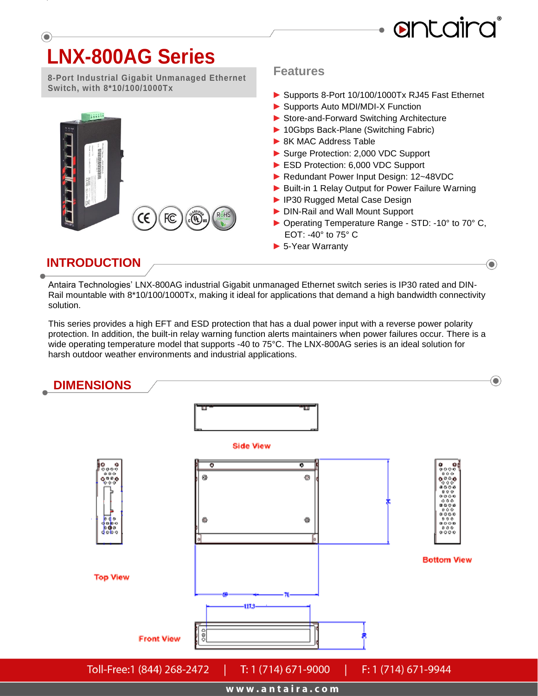

 $\left( \bullet \right)$ 

# **LNX-800AG Series**

**8-Port Industrial Gigabit Unmanaged Ethernet Switch, with 8\*10/100/1000Tx** 

CE

**COL** 

FC

RoHs

#### **Features**

- **►** Supports 8-Port 10/100/1000Tx RJ45 Fast Ethernet
- ► Supports Auto MDI/MDI-X Function
- ▶ Store-and-Forward Switching Architecture
- ► 10Gbps Back-Plane (Switching Fabric)
- ► 8K MAC Address Table
- ► Surge Protection: 2,000 VDC Support
- ► ESD Protection: 6,000 VDC Support
- ► Redundant Power Input Design: 12~48VDC
- ▶ Built-in 1 Relay Output for Power Failure Warning
- ► IP30 Rugged Metal Case Design
- ► DIN-Rail and Wall Mount Support
- ► Operating Temperature Range STD: -10° to 70° C, EOT: -40° to 75° C
- ► 5-Year Warranty

#### **INTRODUCTION**

 $55555$ 

Antaira Technologies' LNX-800AG industrial Gigabit unmanaged Ethernet switch series is IP30 rated and DIN-Rail mountable with 8\*10/100/1000Tx, making it ideal for applications that demand a high bandwidth connectivity solution.

This series provides a high EFT and ESD protection that has a dual power input with a reverse power polarity protection. In addition, the built-in relay warning function alerts maintainers when power failures occur. There is a wide operating temperature model that supports -40 to 75°C. The LNX-800AG series is an ideal solution for harsh outdoor weather environments and industrial applications.